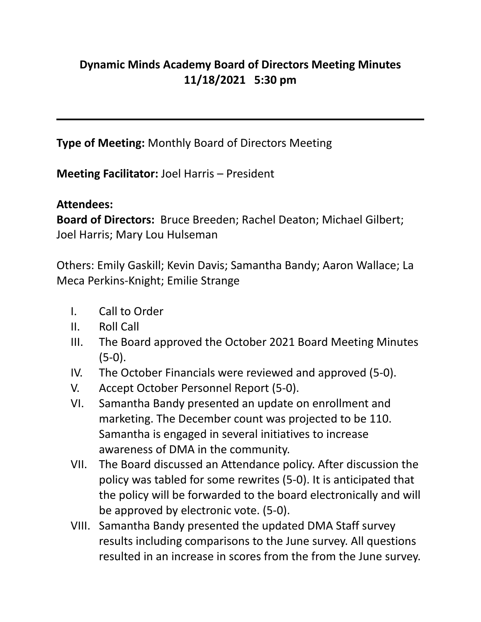## **Dynamic Minds Academy Board of Directors Meeting Minutes 11/18/2021 5:30 pm**

**Type of Meeting:** Monthly Board of Directors Meeting

**Meeting Facilitator:** Joel Harris – President

## **Attendees:**

**Board of Directors:** Bruce Breeden; Rachel Deaton; Michael Gilbert; Joel Harris; Mary Lou Hulseman

Others: Emily Gaskill; Kevin Davis; Samantha Bandy; Aaron Wallace; La Meca Perkins-Knight; Emilie Strange

- I. Call to Order
- II. Roll Call
- III. The Board approved the October 2021 Board Meeting Minutes (5-0).
- IV. The October Financials were reviewed and approved (5-0).
- V. Accept October Personnel Report (5-0).
- VI. Samantha Bandy presented an update on enrollment and marketing. The December count was projected to be 110. Samantha is engaged in several initiatives to increase awareness of DMA in the community.
- VII. The Board discussed an Attendance policy. After discussion the policy was tabled for some rewrites (5-0). It is anticipated that the policy will be forwarded to the board electronically and will be approved by electronic vote. (5-0).
- VIII. Samantha Bandy presented the updated DMA Staff survey results including comparisons to the June survey. All questions resulted in an increase in scores from the from the June survey.